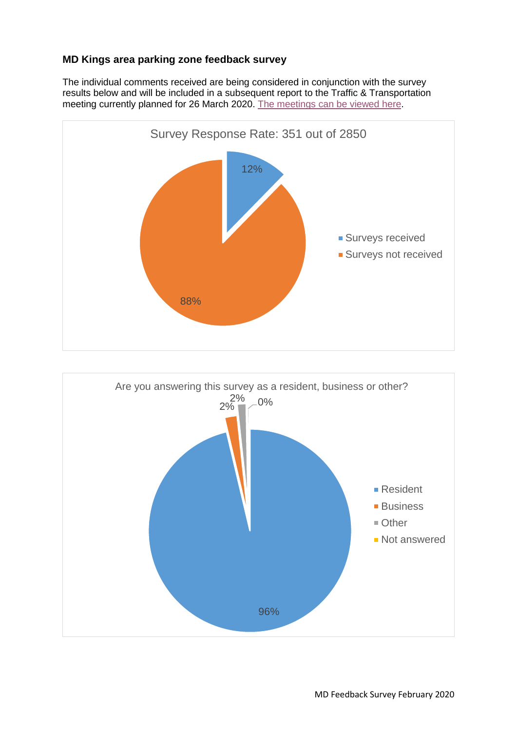## **MD Kings area parking zone feedback survey**

The individual comments received are being considered in conjunction with the survey results below and will be included in a subsequent report to the Traffic & Transportation meeting currently planned for 26 March 2020. [The meetings can be viewed here.](https://democracy.portsmouth.gov.uk/ieListMeetings.aspx?CommitteeId=176&_ga=2.9185141.1945857457.1582194634-1982026189.1575647334)



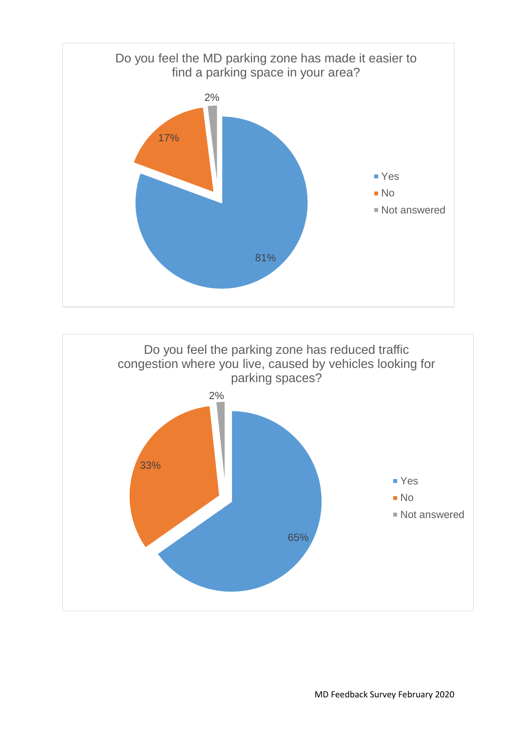

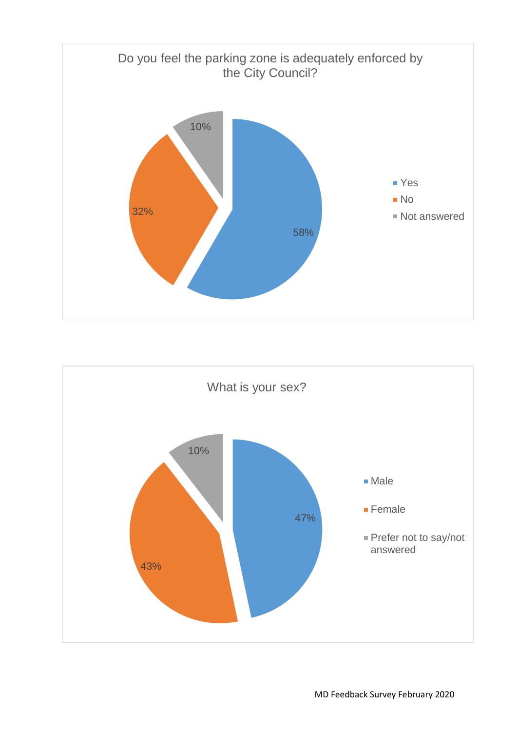

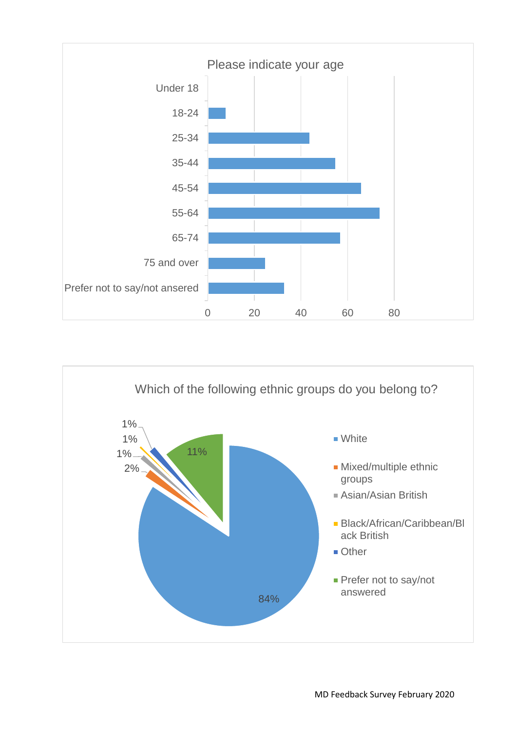

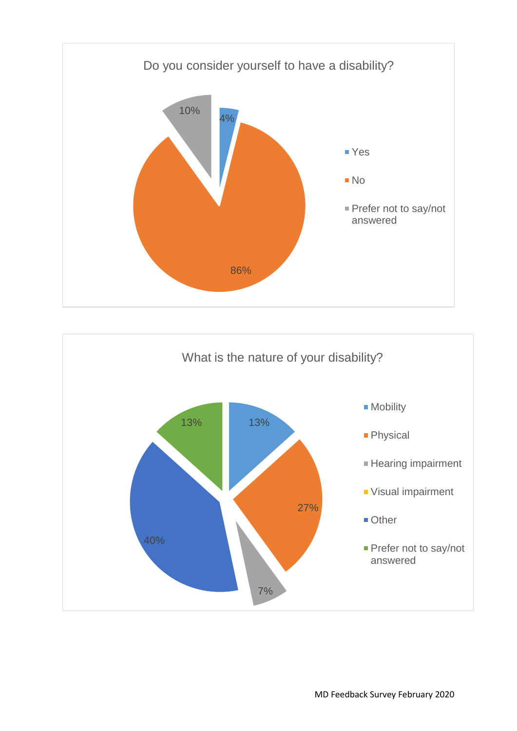

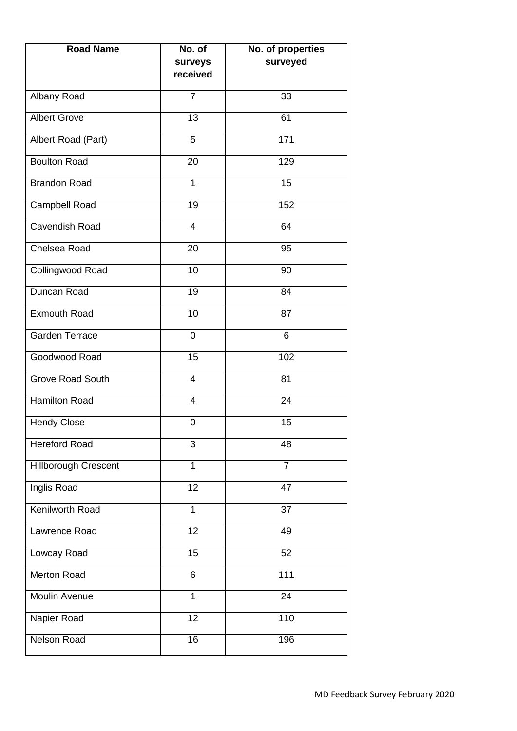| <b>Road Name</b>        | No. of              | No. of properties |
|-------------------------|---------------------|-------------------|
|                         | surveys<br>received | surveyed          |
| Albany Road             | $\overline{7}$      | 33                |
| <b>Albert Grove</b>     | 13                  | 61                |
| Albert Road (Part)      | 5                   | 171               |
| <b>Boulton Road</b>     | 20                  | 129               |
| <b>Brandon Road</b>     | 1                   | 15                |
| Campbell Road           | 19                  | 152               |
| <b>Cavendish Road</b>   | $\overline{4}$      | 64                |
| Chelsea Road            | 20                  | 95                |
| Collingwood Road        | 10                  | 90                |
| Duncan Road             | 19                  | 84                |
| <b>Exmouth Road</b>     | 10                  | 87                |
| Garden Terrace          | $\mathbf 0$         | 6                 |
| Goodwood Road           | 15                  | 102               |
| <b>Grove Road South</b> | $\overline{4}$      | 81                |
| <b>Hamilton Road</b>    | $\overline{4}$      | 24                |
| <b>Hendy Close</b>      | 0                   | 15                |
| <b>Hereford Road</b>    | 3                   | 48                |
| Hillborough Crescent    | $\mathbf{1}$        | $\overline{7}$    |
| Inglis Road             | 12                  | 47                |
| <b>Kenilworth Road</b>  | $\mathbf{1}$        | 37                |
| Lawrence Road           | 12                  | 49                |
| Lowcay Road             | 15                  | 52                |
| Merton Road             | 6                   | 111               |
| Moulin Avenue           | 1                   | 24                |
| Napier Road             | 12                  | 110               |
| <b>Nelson Road</b>      | 16                  | 196               |